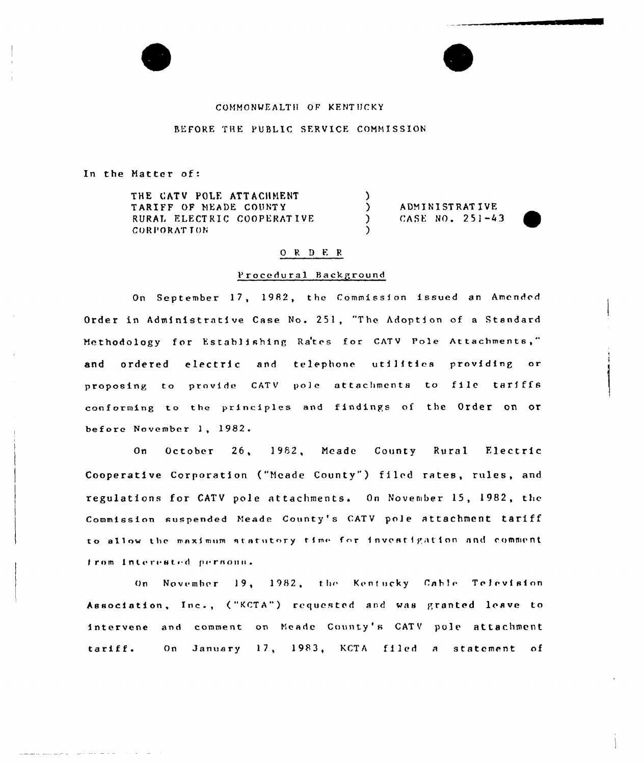## COMMONWEALTH OF KENTUCKY

#### REFORE THE PUBLIC SERVICE COMMISSION

In the Matter of:

and the company of the state of the state of the

THE CATV POLE ATTACHMENT TARIFF OF MEADE COUNTY RURAL ELECTRIC COOPERATIVE **CORPORATION** 

**ADMINISTRATIVE** CASE NO. 251-43



# ORDER

 $\lambda$ 

 $\Delta$ 

 $\mathcal{L}$ 

### Procedural Background

On September 17, 1982, the Commission issued an Amended Order in Administrative Case No. 251, "The Adoption of a Standard Methodology for Establishing Rates for CATV Pole Attachments," ordered electric and telephone utilities providing or and proposing to provide CATV pole attachments to file tariffs conforming to the principles and findings of the Order on or before November 1, 1982.

October 26, 1982, Meade County Rural Electric  $0n$ Cooperative Corporation ("Meade County") filed rates, rules, and regulations for CATV pole attachments. On November 15, 1982, the Commission suspended Meade County's CATV pole attachment tariff to allow the maximum statutory time for investigation and comment from interested persons.

On November 19, 1982, the Kentucky Cable Television Association, Inc., ("KCTA") requested and was granted leave to intervene and comment on Meade County's CATV pole attachment On January 17, 1983, KCTA filed a statement of tariff.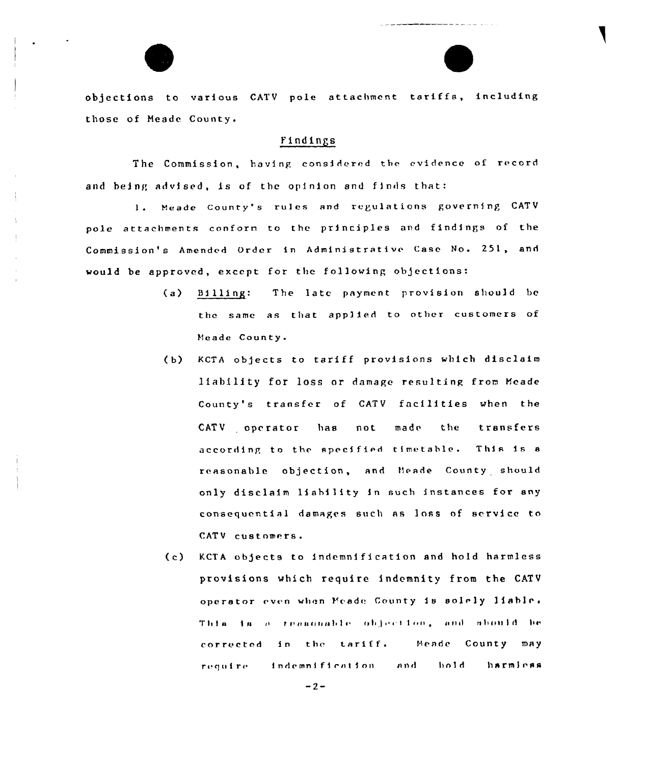objections to various CATV pole attachment tariffs, including those of Meade County.

#### Findings

The Commission, having considered the evidence of record and being advised, is of the opinion and finds that:

1. Meade County's rules and regulations governing CATV pole attachments conform to the principles and findings of the Commission's Amended Order in Administrative Case No. 251, and would be approved, except for the following objections:

- $(a)$  $B111ing:$ The late payment provision should be the same as that applied to other customers of Meade County.
- (b) KCTA objects to tariff provisions which disclaim liability for loss or damage resulting from Meade County's transfer of CATV facilities when the CATV operator not made the transfers has according to the specified timetable. This is a reasonable objection, and Meade County should only disclaim liability in such instances for any consequential damages such as loss of service to CATV customers.
- KCTA objects to indemnification and hold harmless  $(c)$ provisions which require indemnity from the CATV operator even when Meade County is solely liable. This is a reasonable objection, and should be Meade County may corrected in the tariff. require indemnification and hold. harmicas

 $-2-$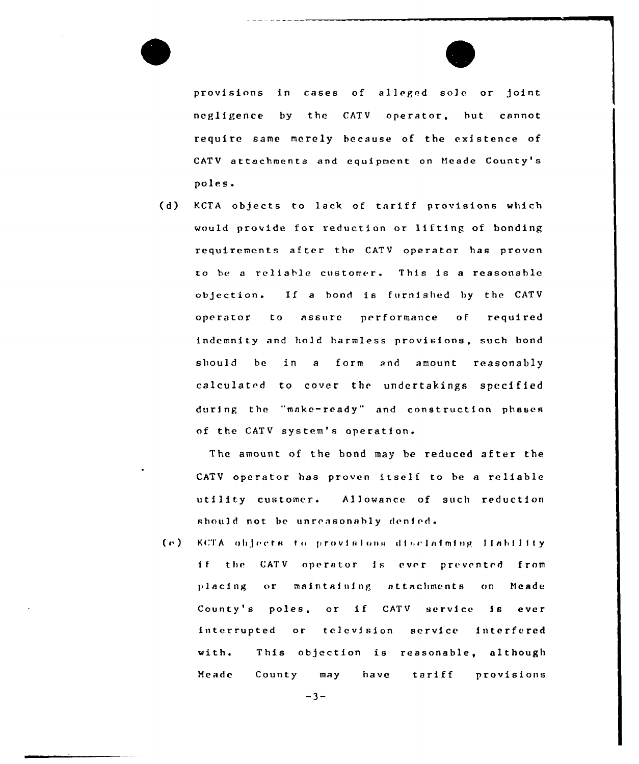



provisions in cases of alleged sole or joint negligence by the CATV operator, but cannot require same merely because of the existence of CATV attachments and equipment on Heade County's poles.

(d) KCTA objects to lack of tariff provisions which would provide for reduction or lifting of bonding requirements after the CATV operator has proven to be <sup>a</sup> reliable customer. This is <sup>a</sup> reasonable objection. If <sup>a</sup> bond is furnished hy the CATV operator to assure performance of required indemnity and hold harmless provisions, such bond should be in a form and amount reasonably calculated to cover the undertakings specified during the "make-ready" and construction phases of the CATV system's operation.

The amount of the bond may be reduced after the CATV operator has proven itself to be <sup>a</sup> reliable utility customer. Allowance of such reduction should not be unreasonably denied.

(e) KCTA objects to provisions disclaiming liability if the CATV operator is ever prevented from placing or maintaining attachments on Meade County's poles, or if CATV service is ever interrupted or television service interfered  $with.$ Heade This objection is reasonable, although County may have tariff provisions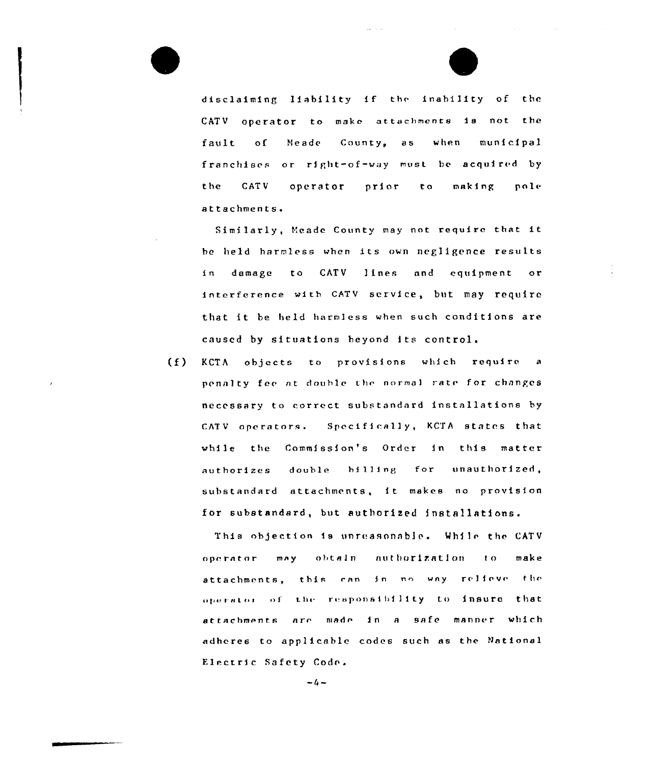disclaiming liability if the inability of the CATV operator to make attachments is not the County, as fault  $\circ$  f Meade when municipal franchises or right-of-way must be acquired by the **CATV** operator prior  $t<sub>o</sub>$ making pole attachments.

Similarly, Meade County may not require that it be held harmless when its own negligence results damage to CATV lines and equipment in  $\circ$ r interference with CATV service, but may require that it be held harmless when such conditions are caused by situations beyond its control.

 $(f)$ KCTA objects to provisions which require  $\overline{a}$ penalty fee at double the normal rate for changes necessary to correct substandard installations by CATV operators. Specifically, KCTA states that while the Commission's Order in this matter authorizes double billing for unauthorized, substandard attachments, it makes no provision for substandard, but authorized installations.

This objection is unreasonable. While the CATV authorization operator  $m \wedge y$ obtain  $\mathbf{t}$  o make attachments, this can in no way relieve the operator of the responsibility to insure that attachments are made in a safe manner which adheres to applicable codes such as the National Electric Safety Code.

 $-4-$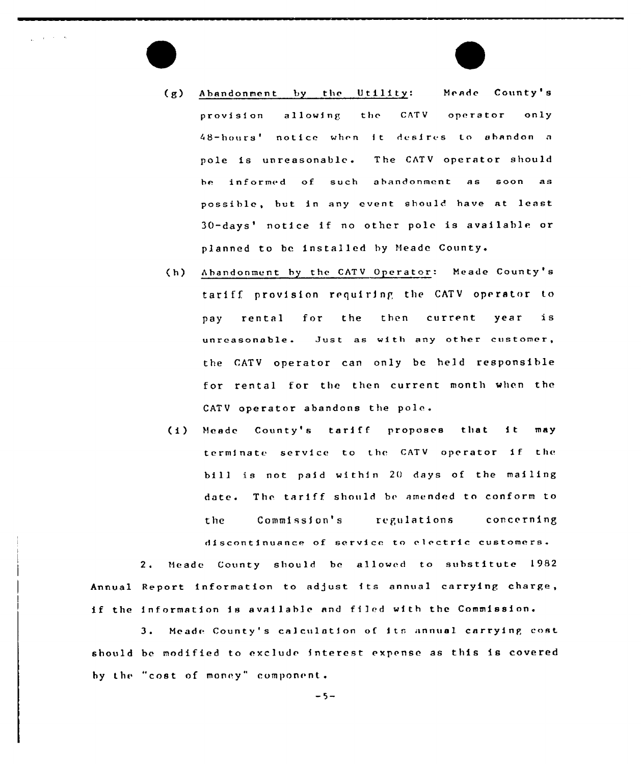(g) Abandonment by the Utility: Neade County's provision allowing the CATV operator only 48-hours' notice when it desires to abandon a pole is unreasonable. The CATV operator should be informed of such abandonment as soon as possible, but in any event should have at least 30-days' notice if no other pole is available or planned to be installed by Meade County.

Linda College

- Abandonment by the CATV Operator: Neade County's  $(h)$ tariff provision rrquirinp the CATV operator to pay rental for the then current year is unreasonable. Just as with any other customer, the CATV operator can only be held responsible for rental for the then current month when the CATV operator abandons the pole.
- (i) Meade County's tariff proposes that it may terminate service to the CATV operator if the bi 11 is not paid within 2O days of the mailing date. The tariff should be amended to conform to the Commission's regulations concerning discontinuance of service to electric customers.

2. Meade County should be allowed to substitute 1982 Annual Report information to adjust its annual carrying charge, if the information is available and filed with the Commission.

3. Meade County's calculation of its annual carrying cost should be modified to exclud< interest expense as this is covered by the "cost of money" component.

 $-5-$